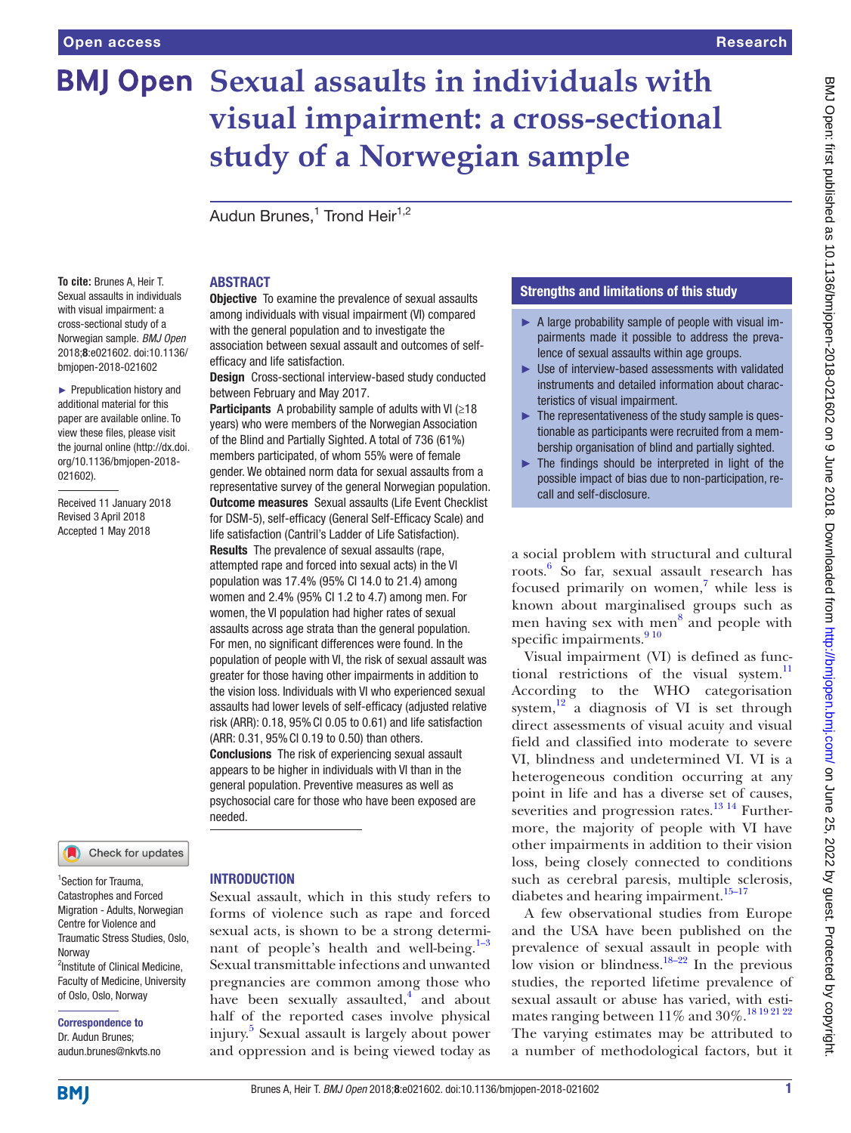# **BMJ Open Sexual assaults in individuals with visual impairment: a cross-sectional study of a Norwegian sample**

Audun Brunes,<sup>1</sup> Trond Heir<sup>1,2</sup>

#### **To cite:** Brunes A, Heir T. Sexual assaults in individuals with visual impairment: a cross-sectional study of a Norwegian sample. *BMJ Open* 2018;8:e021602. doi:10.1136/ bmjopen-2018-021602

► Prepublication history and additional material for this paper are available online. To view these files, please visit the journal online [\(http://dx.doi.](http://dx.doi.org/10.1136/bmjopen-2018-021602) [org/10.1136/bmjopen-2018-](http://dx.doi.org/10.1136/bmjopen-2018-021602) [021602\)](http://dx.doi.org/10.1136/bmjopen-2018-021602).

Received 11 January 2018 Revised 3 April 2018 Accepted 1 May 2018

### Check for updates

1 Section for Trauma, Catastrophes and Forced Migration - Adults, Norwegian Centre for Violence and Traumatic Stress Studies, Oslo, **Norway** 2 Institute of Clinical Medicine, Faculty of Medicine, University of Oslo, Oslo, Norway

Correspondence to Dr. Audun Brunes; audun.brunes@nkvts.no

## **ABSTRACT**

**Objective** To examine the prevalence of sexual assaults among individuals with visual impairment (VI) compared with the general population and to investigate the association between sexual assault and outcomes of selfefficacy and life satisfaction.

Design Cross-sectional interview-based study conducted between February and May 2017.

Participants A probability sample of adults with VI ( $\geq 18$ ) years) who were members of the Norwegian Association of the Blind and Partially Sighted. A total of 736 (61%) members participated, of whom 55% were of female gender. We obtained norm data for sexual assaults from a representative survey of the general Norwegian population. **Outcome measures** Sexual assaults (Life Event Checklist for DSM-5), self-efficacy (General Self-Efficacy Scale) and life satisfaction (Cantril's Ladder of Life Satisfaction). Results The prevalence of sexual assaults (rape, attempted rape and forced into sexual acts) in the VI population was 17.4% (95% CI 14.0 to 21.4) among women and 2.4% (95% CI 1.2 to 4.7) among men. For women, the VI population had higher rates of sexual assaults across age strata than the general population. For men, no significant differences were found. In the population of people with VI, the risk of sexual assault was greater for those having other impairments in addition to the vision loss. Individuals with VI who experienced sexual assaults had lower levels of self-efficacy (adjusted relative risk (ARR): 0.18, 95%CI 0.05 to 0.61) and life satisfaction (ARR: 0.31, 95%CI 0.19 to 0.50) than others. Conclusions The risk of experiencing sexual assault appears to be higher in individuals with VI than in the general population. Preventive measures as well as psychosocial care for those who have been exposed are needed.

#### **INTRODUCTION**

Sexual assault, which in this study refers to forms of violence such as rape and forced sexual acts, is shown to be a strong determinant of people's health and well-being. $1-3$ Sexual transmittable infections and unwanted pregnancies are common among those who have been sexually assaulted, $4^4$  $4^4$  and about half of the reported cases involve physical injury[.5](#page-6-1) Sexual assault is largely about power and oppression and is being viewed today as

#### Strengths and limitations of this study

- ► A large probability sample of people with visual impairments made it possible to address the prevalence of sexual assaults within age groups.
- ► Use of interview-based assessments with validated instruments and detailed information about characteristics of visual impairment.
- $\blacktriangleright$  The representativeness of the study sample is questionable as participants were recruited from a membership organisation of blind and partially sighted.
- $\blacktriangleright$  The findings should be interpreted in light of the possible impact of bias due to non-participation, recall and self-disclosure.

a social problem with structural and cultural roots.<sup>[6](#page-6-2)</sup> So far, sexual assault research has focused primarily on women, $\frac{7}{7}$  while less is known about marginalised groups such as men having sex with men<sup>[8](#page-6-4)</sup> and people with specific impairments.<sup>[9 10](#page-6-5)</sup>

Visual impairment (VI) is defined as func-tional restrictions of the visual system.<sup>[11](#page-6-6)</sup> According to the WHO categorisation system, $\frac{12}{3}$  $\frac{12}{3}$  $\frac{12}{3}$  a diagnosis of VI is set through direct assessments of visual acuity and visual field and classified into moderate to severe VI, blindness and undetermined VI. VI is a heterogeneous condition occurring at any point in life and has a diverse set of causes, severities and progression rates.<sup>13 14</sup> Furthermore, the majority of people with VI have other impairments in addition to their vision loss, being closely connected to conditions such as cerebral paresis, multiple sclerosis, diabetes and hearing impairment. $15-17$ 

A few observational studies from Europe and the USA have been published on the prevalence of sexual assault in people with low vision or blindness.<sup>[18–22](#page-6-10)</sup> In the previous studies, the reported lifetime prevalence of sexual assault or abuse has varied, with estimates ranging between  $11\%$  and  $30\%.^{18\,19\,21\,22}$ The varying estimates may be attributed to a number of methodological factors, but it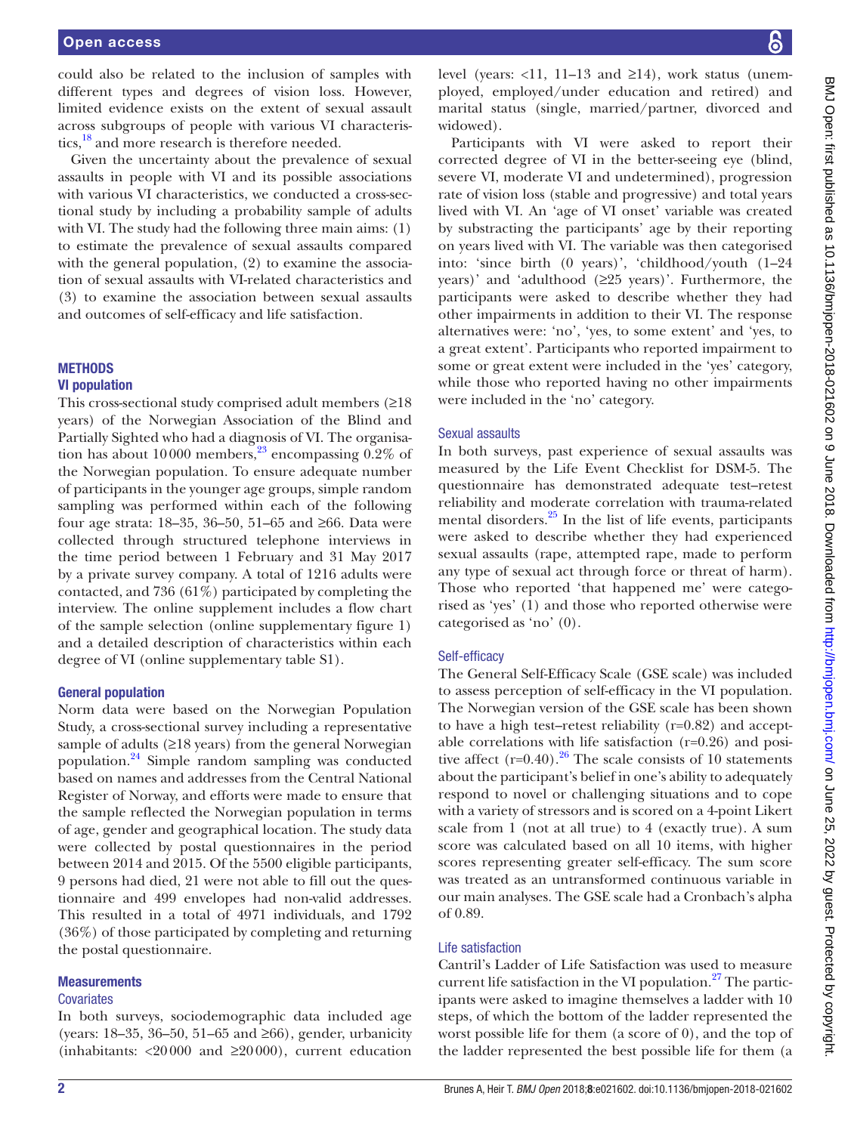could also be related to the inclusion of samples with different types and degrees of vision loss. However, limited evidence exists on the extent of sexual assault across subgroups of people with various VI characteristics,<sup>18</sup> and more research is therefore needed.

Given the uncertainty about the prevalence of sexual assaults in people with VI and its possible associations with various VI characteristics, we conducted a cross-sectional study by including a probability sample of adults with VI. The study had the following three main aims: (1) to estimate the prevalence of sexual assaults compared with the general population, (2) to examine the association of sexual assaults with VI-related characteristics and (3) to examine the association between sexual assaults and outcomes of self-efficacy and life satisfaction.

#### **METHODS**

#### VI population

This cross-sectional study comprised adult members  $(≥18)$ years) of the Norwegian Association of the Blind and Partially Sighted who had a diagnosis of VI. The organisation has about 10000 members,<sup>23</sup> encompassing  $0.2\%$  of the Norwegian population. To ensure adequate number of participants in the younger age groups, simple random sampling was performed within each of the following four age strata: 18–35, 36–50, 51–65 and ≥66. Data were collected through structured telephone interviews in the time period between 1 February and 31 May 2017 by a private survey company. A total of 1216 adults were contacted, and 736 (61%) participated by completing the interview. The online supplement includes a flow chart of the sample selection (online [supplementary figure 1\)](https://dx.doi.org/10.1136/bmjopen-2018-021602) and a detailed description of characteristics within each degree of VI (online [supplementary table S1](https://dx.doi.org/10.1136/bmjopen-2018-021602)).

#### General population

Norm data were based on the Norwegian Population Study, a cross-sectional survey including a representative sample of adults (≥18 years) from the general Norwegian population[.24](#page-6-12) Simple random sampling was conducted based on names and addresses from the Central National Register of Norway, and efforts were made to ensure that the sample reflected the Norwegian population in terms of age, gender and geographical location. The study data were collected by postal questionnaires in the period between 2014 and 2015. Of the 5500 eligible participants, 9 persons had died, 21 were not able to fill out the questionnaire and 499 envelopes had non-valid addresses. This resulted in a total of 4971 individuals, and 1792 (36%) of those participated by completing and returning the postal questionnaire.

#### **Measurements**

#### **Covariates**

In both surveys, sociodemographic data included age (years: 18–35, 36–50, 51–65 and ≥66), gender, urbanicity (inhabitants:  $\langle 20000 \rangle$  and  $\langle 20000 \rangle$ , current education level (years:  $\langle 11, 11-13 \rangle$  and  $\geq 14$ ), work status (unemployed, employed/under education and retired) and marital status (single, married/partner, divorced and widowed).

Participants with VI were asked to report their corrected degree of VI in the better-seeing eye (blind, severe VI, moderate VI and undetermined), progression rate of vision loss (stable and progressive) and total years lived with VI. An 'age of VI onset' variable was created by substracting the participants' age by their reporting on years lived with VI. The variable was then categorised into: 'since birth (0 years)', 'childhood/youth (1–24 years)' and 'adulthood (≥25 years)'. Furthermore, the participants were asked to describe whether they had other impairments in addition to their VI. The response alternatives were: 'no', 'yes, to some extent' and 'yes, to a great extent'. Participants who reported impairment to some or great extent were included in the 'yes' category, while those who reported having no other impairments were included in the 'no' category.

#### Sexual assaults

In both surveys, past experience of sexual assaults was measured by the Life Event Checklist for DSM-5. The questionnaire has demonstrated adequate test–retest reliability and moderate correlation with trauma-related mental disorders.<sup>[25](#page-6-13)</sup> In the list of life events, participants were asked to describe whether they had experienced sexual assaults (rape, attempted rape, made to perform any type of sexual act through force or threat of harm). Those who reported 'that happened me' were categorised as 'yes' (1) and those who reported otherwise were categorised as 'no' (0).

#### Self-efficacy

The General Self-Efficacy Scale (GSE scale) was included to assess perception of self-efficacy in the VI population. The Norwegian version of the GSE scale has been shown to have a high test–retest reliability (r=0.82) and acceptable correlations with life satisfaction (r=0.26) and positive affect (r=0.40).<sup>26</sup> The scale consists of 10 statements about the participant's belief in one's ability to adequately respond to novel or challenging situations and to cope with a variety of stressors and is scored on a 4-point Likert scale from 1 (not at all true) to 4 (exactly true). A sum score was calculated based on all 10 items, with higher scores representing greater self-efficacy. The sum score was treated as an untransformed continuous variable in our main analyses. The GSE scale had a Cronbach's alpha of 0.89.

#### Life satisfaction

Cantril's Ladder of Life Satisfaction was used to measure current life satisfaction in the VI population. $27$  The participants were asked to imagine themselves a ladder with 10 steps, of which the bottom of the ladder represented the worst possible life for them (a score of 0), and the top of the ladder represented the best possible life for them (a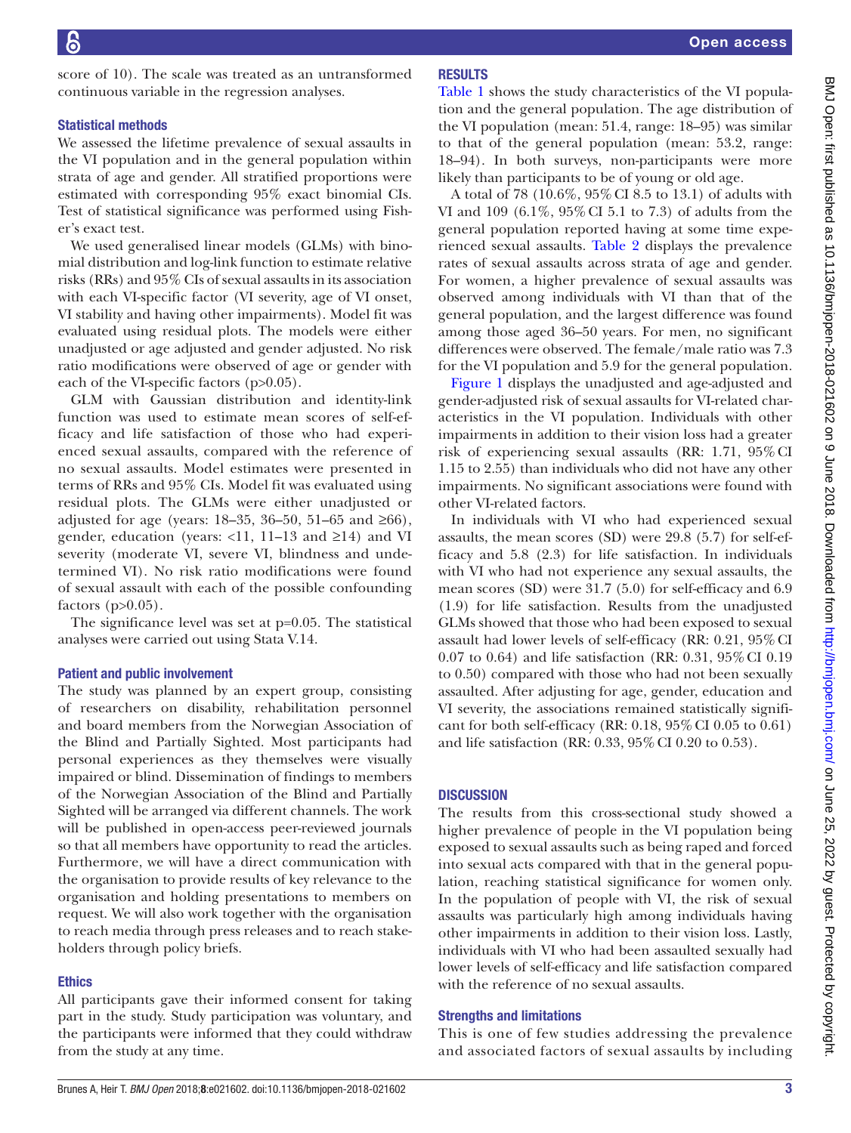score of 10). The scale was treated as an untransformed continuous variable in the regression analyses.

#### Statistical methods

We assessed the lifetime prevalence of sexual assaults in the VI population and in the general population within strata of age and gender. All stratified proportions were estimated with corresponding 95% exact binomial CIs. Test of statistical significance was performed using Fisher's exact test.

We used generalised linear models (GLMs) with binomial distribution and log-link function to estimate relative risks (RRs) and 95% CIs of sexual assaults in its association with each VI-specific factor (VI severity, age of VI onset, VI stability and having other impairments). Model fit was evaluated using residual plots. The models were either unadjusted or age adjusted and gender adjusted. No risk ratio modifications were observed of age or gender with each of the VI-specific factors (p>0.05).

GLM with Gaussian distribution and identity-link function was used to estimate mean scores of self-efficacy and life satisfaction of those who had experienced sexual assaults, compared with the reference of no sexual assaults. Model estimates were presented in terms of RRs and 95% CIs. Model fit was evaluated using residual plots. The GLMs were either unadjusted or adjusted for age (years: 18–35, 36–50, 51–65 and ≥66), gender, education (years: <11, 11–13 and ≥14) and VI severity (moderate VI, severe VI, blindness and undetermined VI). No risk ratio modifications were found of sexual assault with each of the possible confounding factors  $(p>0.05)$ .

The significance level was set at p=0.05. The statistical analyses were carried out using Stata V.14.

#### Patient and public involvement

The study was planned by an expert group, consisting of researchers on disability, rehabilitation personnel and board members from the Norwegian Association of the Blind and Partially Sighted. Most participants had personal experiences as they themselves were visually impaired or blind. Dissemination of findings to members of the Norwegian Association of the Blind and Partially Sighted will be arranged via different channels. The work will be published in open-access peer-reviewed journals so that all members have opportunity to read the articles. Furthermore, we will have a direct communication with the organisation to provide results of key relevance to the organisation and holding presentations to members on request. We will also work together with the organisation to reach media through press releases and to reach stakeholders through policy briefs.

#### **Ethics**

All participants gave their informed consent for taking part in the study. Study participation was voluntary, and the participants were informed that they could withdraw from the study at any time.

#### **RESULTS**

[Table](#page-3-0) 1 shows the study characteristics of the VI population and the general population. The age distribution of the VI population (mean: 51.4, range: 18–95) was similar to that of the general population (mean: 53.2, range: 18–94). In both surveys, non-participants were more likely than participants to be of young or old age.

A total of 78 (10.6%, 95%CI 8.5 to 13.1) of adults with VI and 109 (6.1%, 95%CI 5.1 to 7.3) of adults from the general population reported having at some time experienced sexual assaults. [Table](#page-3-1) 2 displays the prevalence rates of sexual assaults across strata of age and gender. For women, a higher prevalence of sexual assaults was observed among individuals with VI than that of the general population, and the largest difference was found among those aged 36–50 years. For men, no significant differences were observed. The female/male ratio was 7.3 for the VI population and 5.9 for the general population.

[Figure](#page-4-0) 1 displays the unadjusted and age-adjusted and gender-adjusted risk of sexual assaults for VI-related characteristics in the VI population. Individuals with other impairments in addition to their vision loss had a greater risk of experiencing sexual assaults (RR: 1.71, 95%CI 1.15 to 2.55) than individuals who did not have any other impairments. No significant associations were found with other VI-related factors.

In individuals with VI who had experienced sexual assaults, the mean scores (SD) were 29.8 (5.7) for self-efficacy and 5.8 (2.3) for life satisfaction. In individuals with VI who had not experience any sexual assaults, the mean scores (SD) were 31.7 (5.0) for self-efficacy and 6.9 (1.9) for life satisfaction. Results from the unadjusted GLMs showed that those who had been exposed to sexual assault had lower levels of self-efficacy (RR: 0.21, 95%CI 0.07 to 0.64) and life satisfaction (RR: 0.31, 95%CI 0.19 to 0.50) compared with those who had not been sexually assaulted. After adjusting for age, gender, education and VI severity, the associations remained statistically significant for both self-efficacy (RR: 0.18, 95%CI 0.05 to 0.61) and life satisfaction (RR: 0.33, 95%CI 0.20 to 0.53).

#### **DISCUSSION**

The results from this cross-sectional study showed a higher prevalence of people in the VI population being exposed to sexual assaults such as being raped and forced into sexual acts compared with that in the general population, reaching statistical significance for women only. In the population of people with VI, the risk of sexual assaults was particularly high among individuals having other impairments in addition to their vision loss. Lastly, individuals with VI who had been assaulted sexually had lower levels of self-efficacy and life satisfaction compared with the reference of no sexual assaults.

#### Strengths and limitations

This is one of few studies addressing the prevalence and associated factors of sexual assaults by including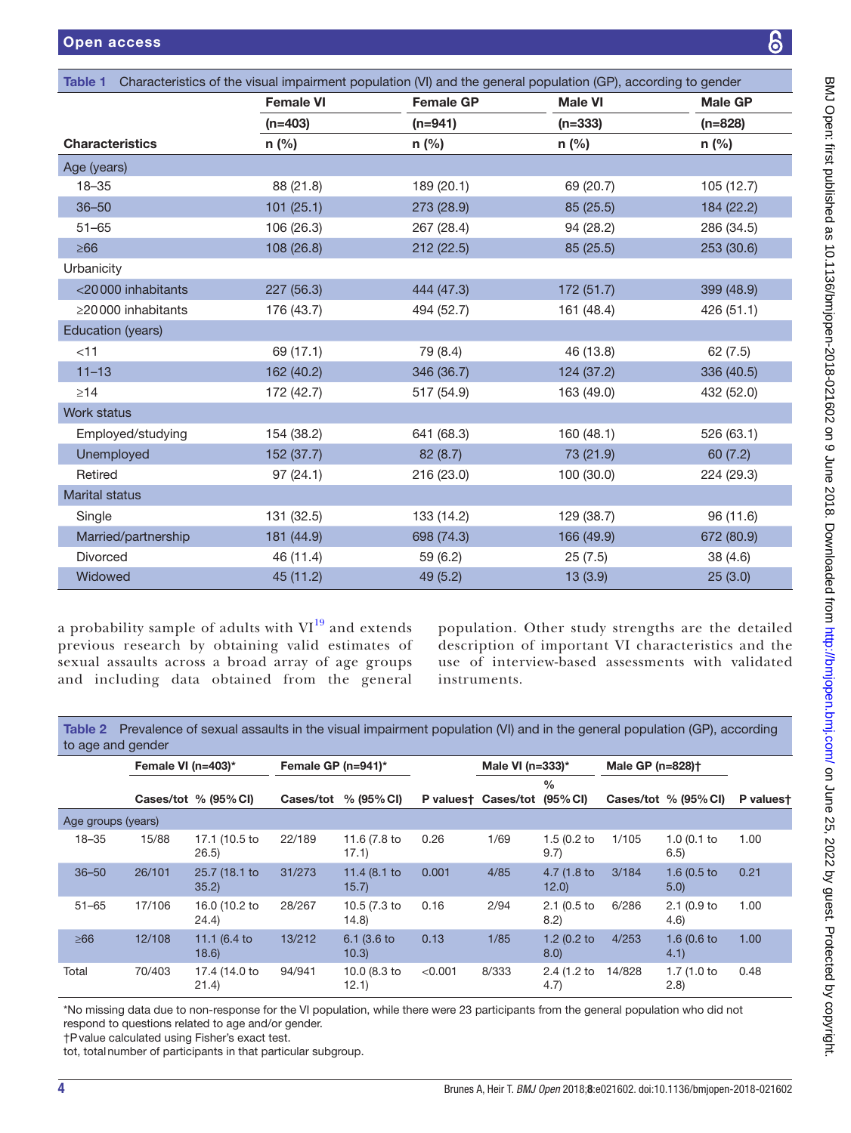<span id="page-3-0"></span>

| Characteristics of the visual impairment population (VI) and the general population (GP), according to gender<br><b>Table 1</b> |                  |                  |                |                |  |  |  |  |  |  |
|---------------------------------------------------------------------------------------------------------------------------------|------------------|------------------|----------------|----------------|--|--|--|--|--|--|
|                                                                                                                                 | <b>Female VI</b> | <b>Female GP</b> | <b>Male VI</b> | <b>Male GP</b> |  |  |  |  |  |  |
|                                                                                                                                 | $(n=403)$        | $(n=941)$        | $(n=333)$      | $(n=828)$      |  |  |  |  |  |  |
| <b>Characteristics</b>                                                                                                          | $n$ (%)          | $n$ (%)          | $n$ (%)        | $n$ (%)        |  |  |  |  |  |  |
| Age (years)                                                                                                                     |                  |                  |                |                |  |  |  |  |  |  |
| $18 - 35$                                                                                                                       | 88 (21.8)        | 189 (20.1)       | 69 (20.7)      | 105(12.7)      |  |  |  |  |  |  |
| $36 - 50$                                                                                                                       | 101 (25.1)       | 273 (28.9)       | 85 (25.5)      | 184 (22.2)     |  |  |  |  |  |  |
| $51 - 65$                                                                                                                       | 106 (26.3)       | 267 (28.4)       | 94 (28.2)      | 286 (34.5)     |  |  |  |  |  |  |
| $\geq 66$                                                                                                                       | 108 (26.8)       | 212 (22.5)       | 85 (25.5)      | 253 (30.6)     |  |  |  |  |  |  |
| Urbanicity                                                                                                                      |                  |                  |                |                |  |  |  |  |  |  |
| <20000 inhabitants                                                                                                              | 227 (56.3)       | 444 (47.3)       | 172 (51.7)     | 399 (48.9)     |  |  |  |  |  |  |
| $\geq$ 20000 inhabitants                                                                                                        | 176 (43.7)       | 494 (52.7)       | 161 (48.4)     | 426 (51.1)     |  |  |  |  |  |  |
| Education (years)                                                                                                               |                  |                  |                |                |  |  |  |  |  |  |
| $<$ 11                                                                                                                          | 69 (17.1)        | 79 (8.4)         | 46 (13.8)      | 62(7.5)        |  |  |  |  |  |  |
| $11 - 13$                                                                                                                       | 162 (40.2)       | 346 (36.7)       | 124 (37.2)     | 336 (40.5)     |  |  |  |  |  |  |
| $\geq$ 14                                                                                                                       | 172 (42.7)       | 517 (54.9)       | 163 (49.0)     | 432 (52.0)     |  |  |  |  |  |  |
| <b>Work status</b>                                                                                                              |                  |                  |                |                |  |  |  |  |  |  |
| Employed/studying                                                                                                               | 154 (38.2)       | 641 (68.3)       | 160 (48.1)     | 526 (63.1)     |  |  |  |  |  |  |
| Unemployed                                                                                                                      | 152 (37.7)       | 82 (8.7)         | 73 (21.9)      | 60(7.2)        |  |  |  |  |  |  |
| Retired                                                                                                                         | 97(24.1)         | 216 (23.0)       | 100 (30.0)     | 224 (29.3)     |  |  |  |  |  |  |
| <b>Marital status</b>                                                                                                           |                  |                  |                |                |  |  |  |  |  |  |
| Single                                                                                                                          | 131 (32.5)       | 133 (14.2)       | 129 (38.7)     | 96 (11.6)      |  |  |  |  |  |  |
| Married/partnership                                                                                                             | 181 (44.9)       | 698 (74.3)       | 166 (49.9)     | 672 (80.9)     |  |  |  |  |  |  |
| Divorced                                                                                                                        | 46 (11.4)        | 59 (6.2)         | 25(7.5)        | 38 (4.6)       |  |  |  |  |  |  |
| Widowed                                                                                                                         | 45 (11.2)        | 49 (5.2)         | 13(3.9)        | 25(3.0)        |  |  |  |  |  |  |

a probability sample of adults with  $VI<sup>19</sup>$  $VI<sup>19</sup>$  $VI<sup>19</sup>$  and extends previous research by obtaining valid estimates of sexual assaults across a broad array of age groups and including data obtained from the general

population. Other study strengths are the detailed description of important VI characteristics and the use of interview-based assessments with validated instruments.

<span id="page-3-1"></span>Table 2 Prevalence of sexual assaults in the visual impairment population (VI) and in the general population (GP), according to age and gender

|  |                    | Female VI ( $n=403$ )* |                        | Female GP $(n=941)^*$ |                                 |         | Male VI ( $n=333$ )*         |                     | Male GP (n=828)† |                        |           |
|--|--------------------|------------------------|------------------------|-----------------------|---------------------------------|---------|------------------------------|---------------------|------------------|------------------------|-----------|
|  |                    |                        | Cases/tot $% (95% CI)$ |                       | Cases/tot $% (95\% \text{ Cl})$ |         | P valuest Cases/tot (95% CI) | $\frac{0}{0}$       |                  | Cases/tot $% (95% CI)$ | P valuest |
|  | Age groups (years) |                        |                        |                       |                                 |         |                              |                     |                  |                        |           |
|  | $18 - 35$          | 15/88                  | 17.1 (10.5 to<br>26.5  | 22/189                | 11.6 (7.8 to<br>17.1)           | 0.26    | 1/69                         | 1.5(0.2)<br>9.7)    | 1/105            | 1.0(0.1)<br>6.5)       | 1.00      |
|  | $36 - 50$          | 26/101                 | 25.7 (18.1 to<br>35.2  | 31/273                | 11.4 (8.1 to<br>15.7            | 0.001   | 4/85                         | 4.7 (1.8 to<br>12.0 | 3/184            | 1.6 $(0.5)$ to<br>5.0  | 0.21      |
|  | $51 - 65$          | 17/106                 | 16.0 (10.2 to<br>24.4) | 28/267                | 10.5 (7.3 to<br>14.8)           | 0.16    | 2/94                         | 2.1(0.5)<br>8.2)    | 6/286            | 2.1(0.9)<br>(4.6)      | 1.00      |
|  | $\geq 66$          | 12/108                 | 11.1 (6.4 to<br>18.6   | 13/212                | 6.1 (3.6 to<br>10.3)            | 0.13    | 1/85                         | 1.2(0.2)<br>8.0)    | 4/253            | 1.6 $(0.6)$ to<br>4.1  | 1.00      |
|  | Total              | 70/403                 | 17.4 (14.0 to<br>21.4) | 94/941                | 10.0 (8.3 to<br>12.1)           | < 0.001 | 8/333                        | 2.4 (1.2 to<br>4.7) | 14/828           | 1.7(1.0)<br>(2.8)      | 0.48      |

\*No missing data due to non-response for the VI population, while there were 23 participants from the general population who did not respond to questions related to age and/or gender.

†Pvalue calculated using Fisher's exact test.

tot, totalnumber of participants in that particular subgroup.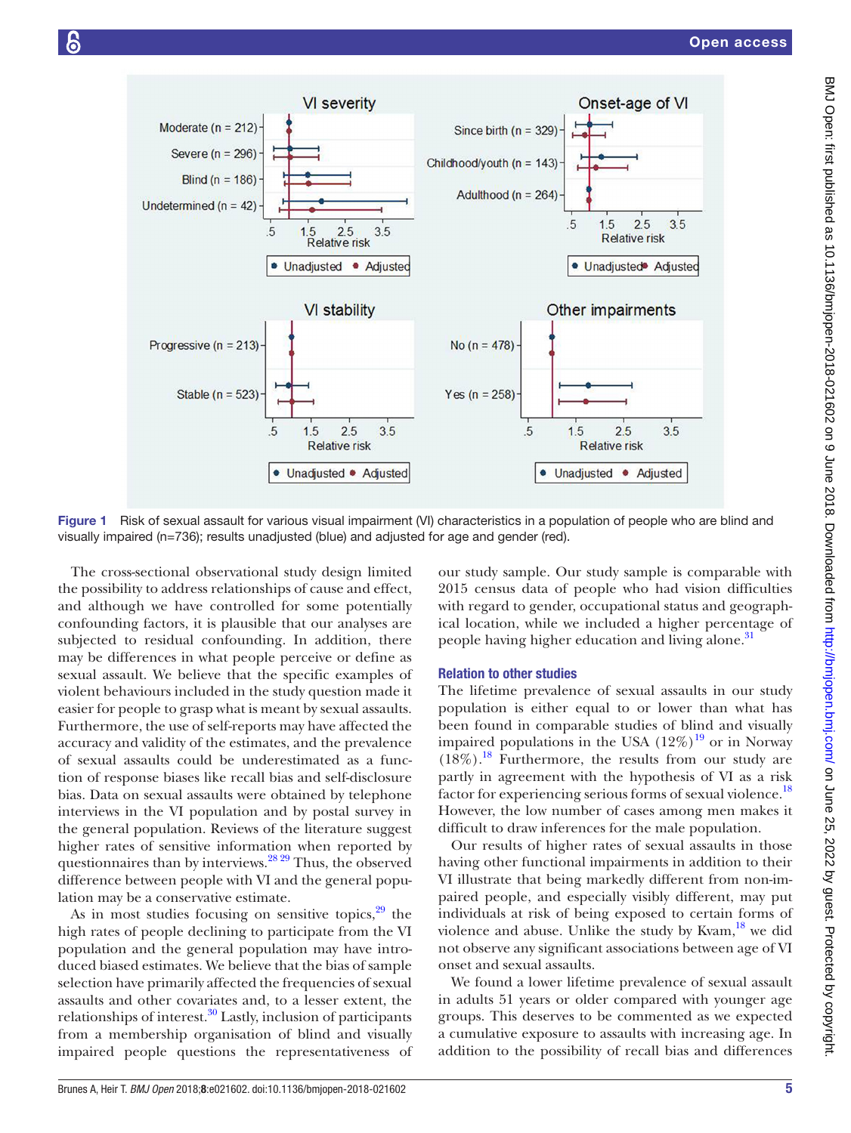

<span id="page-4-0"></span>Figure 1 Risk of sexual assault for various visual impairment (VI) characteristics in a population of people who are blind and visually impaired (n=736); results unadjusted (blue) and adjusted for age and gender (red).

The cross-sectional observational study design limited the possibility to address relationships of cause and effect, and although we have controlled for some potentially confounding factors, it is plausible that our analyses are subjected to residual confounding. In addition, there may be differences in what people perceive or define as sexual assault. We believe that the specific examples of violent behaviours included in the study question made it easier for people to grasp what is meant by sexual assaults. Furthermore, the use of self-reports may have affected the accuracy and validity of the estimates, and the prevalence of sexual assaults could be underestimated as a function of response biases like recall bias and self-disclosure bias. Data on sexual assaults were obtained by telephone interviews in the VI population and by postal survey in the general population. Reviews of the literature suggest higher rates of sensitive information when reported by questionnaires than by interviews.[28 29](#page-6-17) Thus, the observed difference between people with VI and the general population may be a conservative estimate.

As in most studies focusing on sensitive topics,  $29$  the high rates of people declining to participate from the VI population and the general population may have introduced biased estimates. We believe that the bias of sample selection have primarily affected the frequencies of sexual assaults and other covariates and, to a lesser extent, the relationships of interest. $30$  Lastly, inclusion of participants from a membership organisation of blind and visually impaired people questions the representativeness of our study sample. Our study sample is comparable with 2015 census data of people who had vision difficulties with regard to gender, occupational status and geographical location, while we included a higher percentage of people having higher education and living alone.<sup>31</sup>

#### Relation to other studies

The lifetime prevalence of sexual assaults in our study population is either equal to or lower than what has been found in comparable studies of blind and visually impaired populations in the USA  $(12\%)^{19}$  $(12\%)^{19}$  $(12\%)^{19}$  or in Norway  $(18\%)$ .<sup>18</sup> Furthermore, the results from our study are partly in agreement with the hypothesis of VI as a risk factor for experiencing serious forms of sexual violence.<sup>[18](#page-6-10)</sup> However, the low number of cases among men makes it difficult to draw inferences for the male population.

Our results of higher rates of sexual assaults in those having other functional impairments in addition to their VI illustrate that being markedly different from non-impaired people, and especially visibly different, may put individuals at risk of being exposed to certain forms of violence and abuse. Unlike the study by Kvam, $^{18}$  we did not observe any significant associations between age of VI onset and sexual assaults.

We found a lower lifetime prevalence of sexual assault in adults 51 years or older compared with younger age groups. This deserves to be commented as we expected a cumulative exposure to assaults with increasing age. In addition to the possibility of recall bias and differences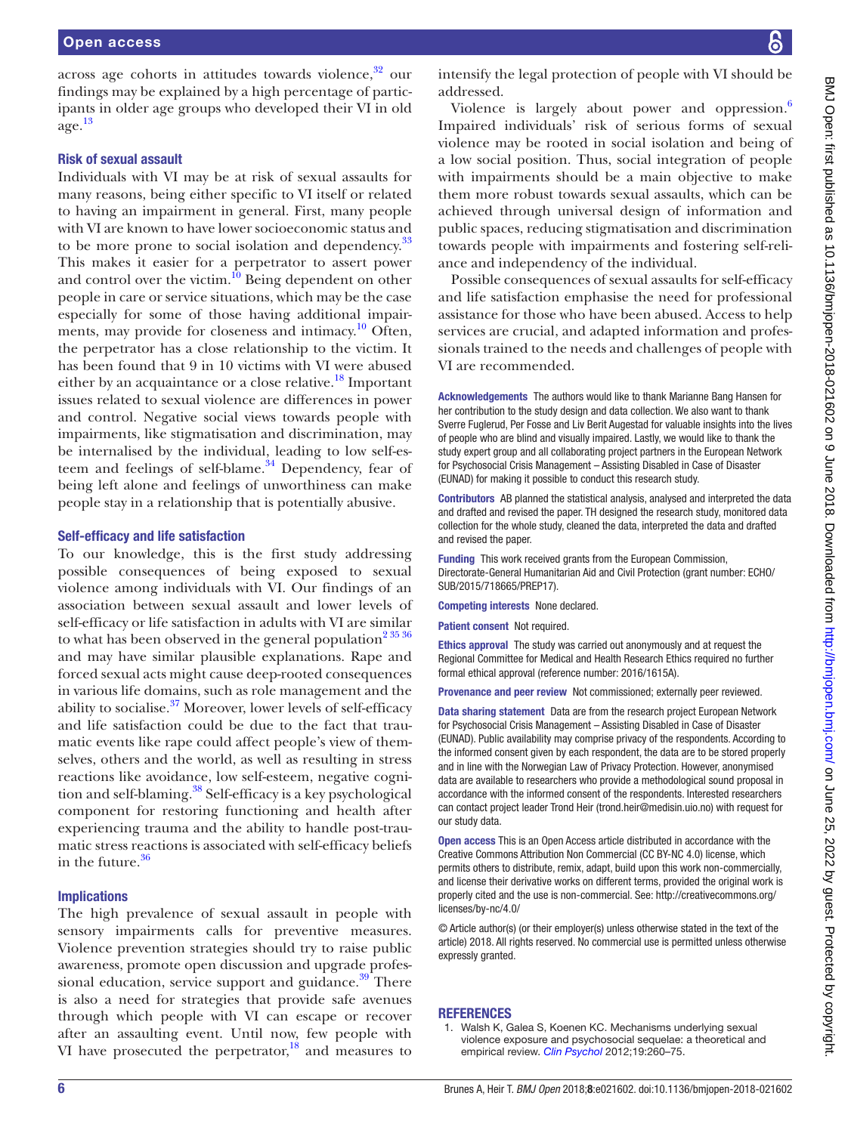across age cohorts in attitudes towards violence, $32$  our findings may be explained by a high percentage of participants in older age groups who developed their VI in old age. [13](#page-6-8)

#### Risk of sexual assault

Individuals with VI may be at risk of sexual assaults for many reasons, being either specific to VI itself or related to having an impairment in general. First, many people with VI are known to have lower socioeconomic status and to be more prone to social isolation and dependency.<sup>[33](#page-6-22)</sup> This makes it easier for a perpetrator to assert power and control over the victim.<sup>10</sup> Being dependent on other people in care or service situations, which may be the case especially for some of those having additional impairments, may provide for closeness and intimacy.<sup>10</sup> Often, the perpetrator has a close relationship to the victim. It has been found that 9 in 10 victims with VI were abused either by an acquaintance or a close relative.<sup>18</sup> Important issues related to sexual violence are differences in power and control. Negative social views towards people with impairments, like stigmatisation and discrimination, may be internalised by the individual, leading to low self-es-teem and feelings of self-blame.<sup>[34](#page-6-24)</sup> Dependency, fear of being left alone and feelings of unworthiness can make people stay in a relationship that is potentially abusive.

#### Self-efficacy and life satisfaction

To our knowledge, this is the first study addressing possible consequences of being exposed to sexual violence among individuals with VI. Our findings of an association between sexual assault and lower levels of self-efficacy or life satisfaction in adults with VI are similar to what has been observed in the general population<sup>2 35</sup> 36 and may have similar plausible explanations. Rape and forced sexual acts might cause deep-rooted consequences in various life domains, such as role management and the ability to socialise. $37$  Moreover, lower levels of self-efficacy and life satisfaction could be due to the fact that traumatic events like rape could affect people's view of themselves, others and the world, as well as resulting in stress reactions like avoidance, low self-esteem, negative cognition and self-blaming.<sup>38</sup> Self-efficacy is a key psychological component for restoring functioning and health after experiencing trauma and the ability to handle post-traumatic stress reactions is associated with self-efficacy beliefs in the future. $36$ 

#### Implications

The high prevalence of sexual assault in people with sensory impairments calls for preventive measures. Violence prevention strategies should try to raise public awareness, promote open discussion and upgrade profes-sional education, service support and guidance.<sup>[39](#page-6-29)</sup> There is also a need for strategies that provide safe avenues through which people with VI can escape or recover after an assaulting event. Until now, few people with VI have prosecuted the perpetrator, $^{18}$  and measures to

intensify the legal protection of people with VI should be addressed.

Violence is largely about power and oppression.<sup>6</sup> Impaired individuals' risk of serious forms of sexual violence may be rooted in social isolation and being of a low social position. Thus, social integration of people with impairments should be a main objective to make them more robust towards sexual assaults, which can be achieved through universal design of information and public spaces, reducing stigmatisation and discrimination towards people with impairments and fostering self-reliance and independency of the individual.

Possible consequences of sexual assaults for self-efficacy and life satisfaction emphasise the need for professional assistance for those who have been abused. Access to help services are crucial, and adapted information and professionals trained to the needs and challenges of people with VI are recommended.

Acknowledgements The authors would like to thank Marianne Bang Hansen for her contribution to the study design and data collection. We also want to thank Sverre Fuglerud, Per Fosse and Liv Berit Augestad for valuable insights into the lives of people who are blind and visually impaired. Lastly, we would like to thank the study expert group and all collaborating project partners in the European Network for Psychosocial Crisis Management – Assisting Disabled in Case of Disaster (EUNAD) for making it possible to conduct this research study.

Contributors AB planned the statistical analysis, analysed and interpreted the data and drafted and revised the paper. TH designed the research study, monitored data collection for the whole study, cleaned the data, interpreted the data and drafted and revised the paper.

Funding This work received grants from the European Commission, Directorate-General Humanitarian Aid and Civil Protection (grant number: ECHO/ SUB/2015/718665/PREP17).

Competing interests None declared.

Patient consent Not required.

Ethics approval The study was carried out anonymously and at request the Regional Committee for Medical and Health Research Ethics required no further formal ethical approval (reference number: 2016/1615A).

Provenance and peer review Not commissioned; externally peer reviewed.

Data sharing statement Data are from the research project European Network for Psychosocial Crisis Management – Assisting Disabled in Case of Disaster (EUNAD). Public availability may comprise privacy of the respondents. According to the informed consent given by each respondent, the data are to be stored properly and in line with the Norwegian Law of Privacy Protection. However, anonymised data are available to researchers who provide a methodological sound proposal in accordance with the informed consent of the respondents. Interested researchers can contact project leader Trond Heir (trond.heir@medisin.uio.no) with request for our study data.

Open access This is an Open Access article distributed in accordance with the Creative Commons Attribution Non Commercial (CC BY-NC 4.0) license, which permits others to distribute, remix, adapt, build upon this work non-commercially, and license their derivative works on different terms, provided the original work is properly cited and the use is non-commercial. See: [http://creativecommons.org/](http://creativecommons.org/licenses/by-nc/4.0/) [licenses/by-nc/4.0/](http://creativecommons.org/licenses/by-nc/4.0/)

© Article author(s) (or their employer(s) unless otherwise stated in the text of the article) 2018. All rights reserved. No commercial use is permitted unless otherwise expressly granted.

#### **REFERENCES**

<span id="page-5-0"></span>1. Walsh K, Galea S, Koenen KC. Mechanisms underlying sexual violence exposure and psychosocial sequelae: a theoretical and empirical review. *[Clin Psychol](http://dx.doi.org/10.1111/cpsp.12004)* 2012;19:260–75.